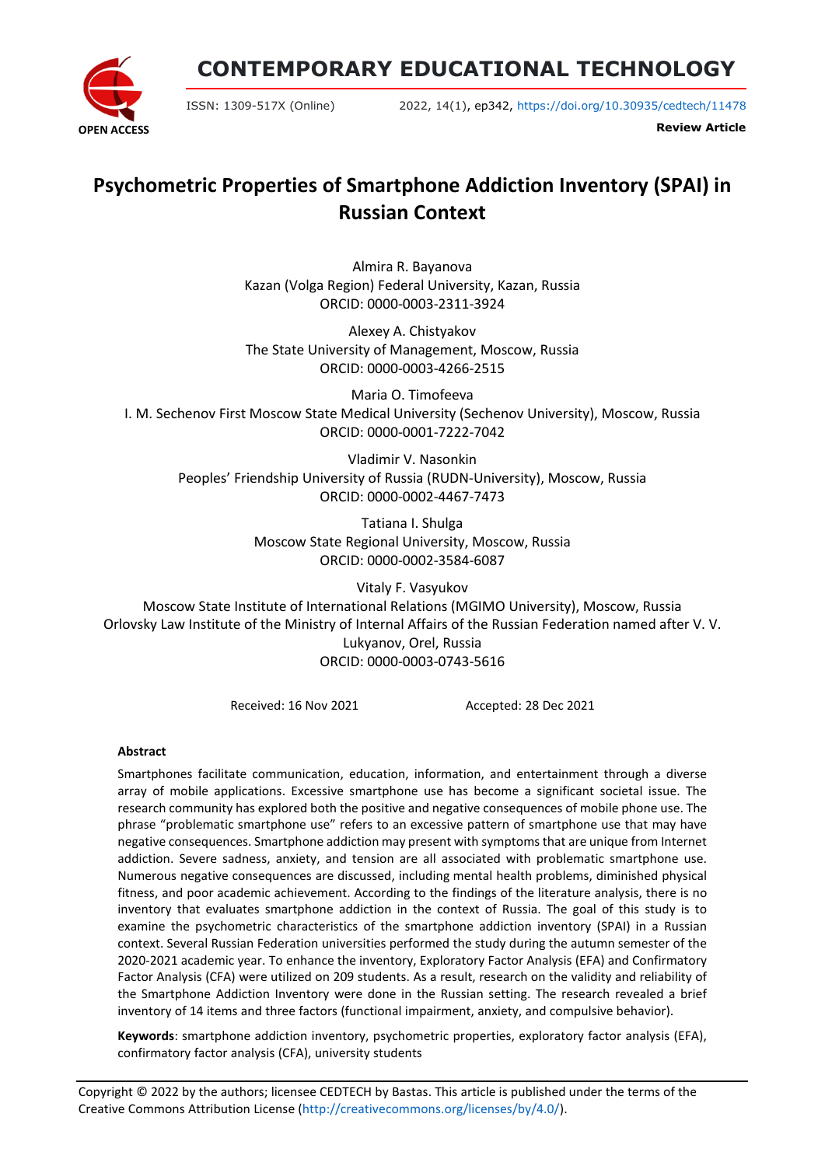**CONTEMPORARY EDUCATIONAL TECHNOLOGY**



ISSN: 1309-517X (Online) 2022, 14(1), ep342, <https://doi.org/10.30935/cedtech/11478>

**Review Article**

# **Psychometric Properties of Smartphone Addiction Inventory (SPAI) in Russian Context**

Almira R. Bayanova Kazan (Volga Region) Federal University, Kazan, Russia ORCID: 0000-0003-2311-3924

Alexey A. Chistyakov The State University of Management, Moscow, Russia ORCID: 0000-0003-4266-2515

Maria O. Timofeeva I. M. Sechenov First Moscow State Medical University (Sechenov University), Moscow, Russia ORCID: 0000-0001-7222-7042

Vladimir V. Nasonkin Peoples' Friendship University of Russia (RUDN-University), Moscow, Russia ORCID: 0000-0002-4467-7473

> Tatiana I. Shulga Moscow State Regional University, Moscow, Russia ORCID: 0000-0002-3584-6087

Vitaly F. Vasyukov Moscow State Institute of International Relations (MGIMO University), Moscow, Russia Orlovsky Law Institute of the Ministry of Internal Affairs of the Russian Federation named after V. V. Lukyanov, Orel, Russia ORCID: 0000-0003-0743-5616

Received: 16 Nov 2021 Accepted: 28 Dec 2021

# **Abstract**

Smartphones facilitate communication, education, information, and entertainment through a diverse array of mobile applications. Excessive smartphone use has become a significant societal issue. The research community has explored both the positive and negative consequences of mobile phone use. The phrase "problematic smartphone use" refers to an excessive pattern of smartphone use that may have negative consequences. Smartphone addiction may present with symptoms that are unique from Internet addiction. Severe sadness, anxiety, and tension are all associated with problematic smartphone use. Numerous negative consequences are discussed, including mental health problems, diminished physical fitness, and poor academic achievement. According to the findings of the literature analysis, there is no inventory that evaluates smartphone addiction in the context of Russia. The goal of this study is to examine the psychometric characteristics of the smartphone addiction inventory (SPAI) in a Russian context. Several Russian Federation universities performed the study during the autumn semester of the 2020-2021 academic year. To enhance the inventory, Exploratory Factor Analysis (EFA) and Confirmatory Factor Analysis (CFA) were utilized on 209 students. As a result, research on the validity and reliability of the Smartphone Addiction Inventory were done in the Russian setting. The research revealed a brief inventory of 14 items and three factors (functional impairment, anxiety, and compulsive behavior).

**Keywords**: smartphone addiction inventory, psychometric properties, exploratory factor analysis (EFA), confirmatory factor analysis (CFA), university students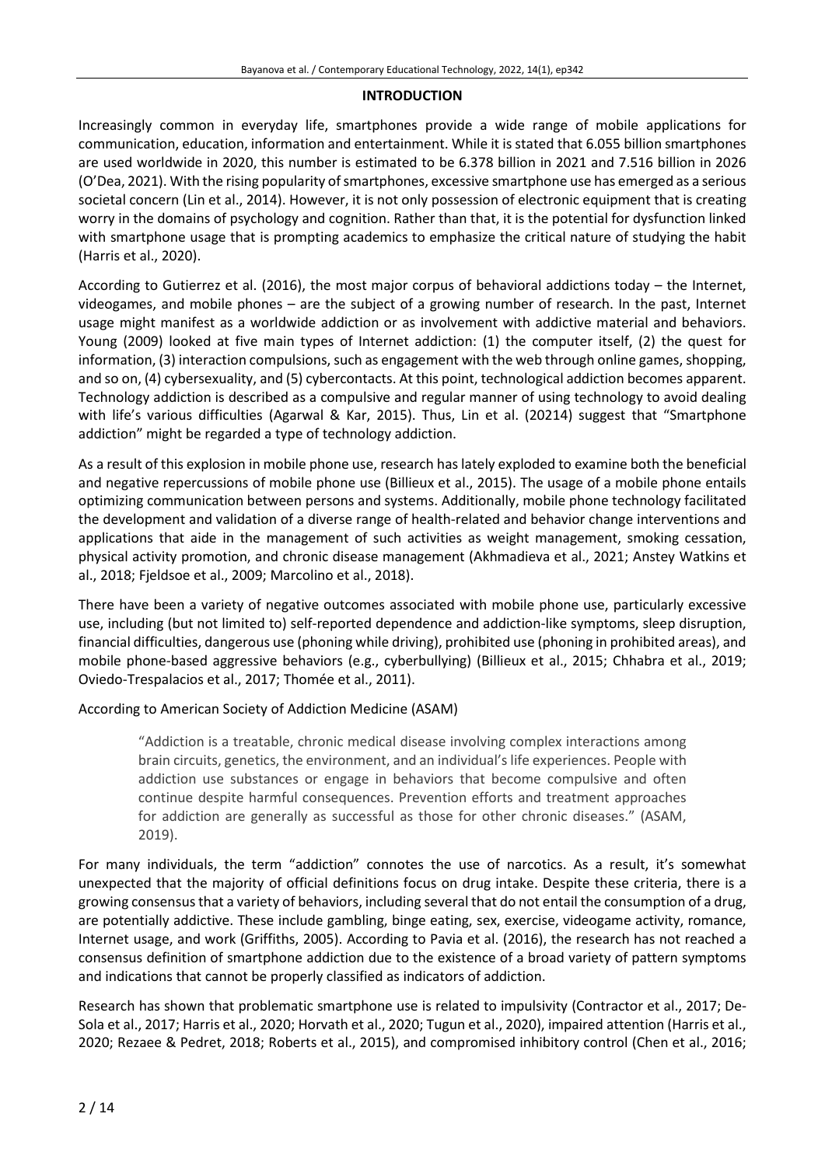#### **INTRODUCTION**

Increasingly common in everyday life, smartphones provide a wide range of mobile applications for communication, education, information and entertainment. While it is stated that 6.055 billion smartphones are used worldwide in 2020, this number is estimated to be 6.378 billion in 2021 and 7.516 billion in 2026 (O'Dea, 2021). With the rising popularity of smartphones, excessive smartphone use has emerged as a serious societal concern (Lin et al., 2014). However, it is not only possession of electronic equipment that is creating worry in the domains of psychology and cognition. Rather than that, it is the potential for dysfunction linked with smartphone usage that is prompting academics to emphasize the critical nature of studying the habit (Harris et al., 2020).

According to Gutierrez et al. (2016), the most major corpus of behavioral addictions today – the Internet, videogames, and mobile phones – are the subject of a growing number of research. In the past, Internet usage might manifest as a worldwide addiction or as involvement with addictive material and behaviors. Young (2009) looked at five main types of Internet addiction: (1) the computer itself, (2) the quest for information, (3) interaction compulsions, such as engagement with the web through online games, shopping, and so on, (4) cybersexuality, and (5) cybercontacts. At this point, technological addiction becomes apparent. Technology addiction is described as a compulsive and regular manner of using technology to avoid dealing with life's various difficulties (Agarwal & Kar, 2015). Thus, Lin et al. (20214) suggest that "Smartphone addiction" might be regarded a type of technology addiction.

As a result of this explosion in mobile phone use, research haslately exploded to examine both the beneficial and negative repercussions of mobile phone use (Billieux et al., 2015). The usage of a mobile phone entails optimizing communication between persons and systems. Additionally, mobile phone technology facilitated the development and validation of a diverse range of health-related and behavior change interventions and applications that aide in the management of such activities as weight management, smoking cessation, physical activity promotion, and chronic disease management (Akhmadieva et al., 2021; Anstey Watkins et al., 2018; Fjeldsoe et al., 2009; Marcolino et al., 2018).

There have been a variety of negative outcomes associated with mobile phone use, particularly excessive use, including (but not limited to) self-reported dependence and addiction-like symptoms, sleep disruption, financial difficulties, dangerous use (phoning while driving), prohibited use (phoning in prohibited areas), and mobile phone-based aggressive behaviors (e.g., cyberbullying) (Billieux et al., 2015; Chhabra et al., 2019; Oviedo-Trespalacios et al., 2017; Thomée et al., 2011).

According to American Society of Addiction Medicine (ASAM)

"Addiction is a treatable, chronic medical disease involving complex interactions among brain circuits, genetics, the environment, and an individual's life experiences. People with addiction use substances or engage in behaviors that become compulsive and often continue despite harmful consequences. Prevention efforts and treatment approaches for addiction are generally as successful as those for other chronic diseases." (ASAM, 2019).

For many individuals, the term "addiction" connotes the use of narcotics. As a result, it's somewhat unexpected that the majority of official definitions focus on drug intake. Despite these criteria, there is a growing consensusthat a variety of behaviors, including several that do not entail the consumption of a drug, are potentially addictive. These include gambling, binge eating, sex, exercise, videogame activity, romance, Internet usage, and work (Griffiths, 2005). According to Pavia et al. (2016), the research has not reached a consensus definition of smartphone addiction due to the existence of a broad variety of pattern symptoms and indications that cannot be properly classified as indicators of addiction.

Research has shown that problematic smartphone use is related to impulsivity (Contractor et al., 2017; De-Sola et al., 2017; Harris et al., 2020; Horvath et al., 2020; Tugun et al., 2020), impaired attention (Harris et al., 2020; Rezaee & Pedret, 2018; Roberts et al., 2015), and compromised inhibitory control (Chen et al., 2016;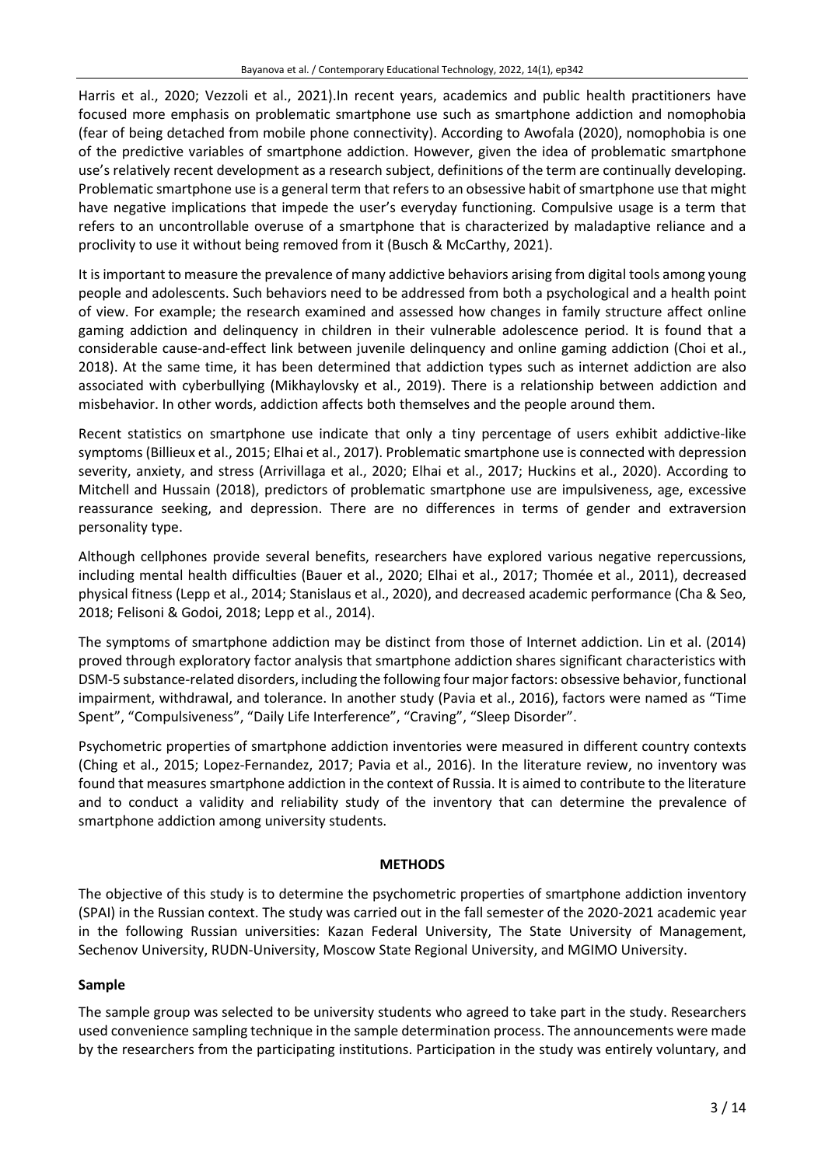Harris et al., 2020; Vezzoli et al., 2021).In recent years, academics and public health practitioners have focused more emphasis on problematic smartphone use such as smartphone addiction and nomophobia (fear of being detached from mobile phone connectivity). According to Awofala (2020), nomophobia is one of the predictive variables of smartphone addiction. However, given the idea of problematic smartphone use's relatively recent development as a research subject, definitions of the term are continually developing. Problematic smartphone use is a general term that refers to an obsessive habit of smartphone use that might have negative implications that impede the user's everyday functioning. Compulsive usage is a term that refers to an uncontrollable overuse of a smartphone that is characterized by maladaptive reliance and a proclivity to use it without being removed from it (Busch & McCarthy, 2021).

It is important to measure the prevalence of many addictive behaviors arising from digital tools among young people and adolescents. Such behaviors need to be addressed from both a psychological and a health point of view. For example; the research examined and assessed how changes in family structure affect online gaming addiction and delinquency in children in their vulnerable adolescence period. It is found that a considerable cause-and-effect link between juvenile delinquency and online gaming addiction (Choi et al., 2018). At the same time, it has been determined that addiction types such as internet addiction are also associated with cyberbullying (Mikhaylovsky et al., 2019). There is a relationship between addiction and misbehavior. In other words, addiction affects both themselves and the people around them.

Recent statistics on smartphone use indicate that only a tiny percentage of users exhibit addictive-like symptoms (Billieux et al., 2015; Elhai et al., 2017). Problematic smartphone use is connected with depression severity, anxiety, and stress (Arrivillaga et al., 2020; Elhai et al., 2017; Huckins et al., 2020). According to Mitchell and Hussain (2018), predictors of problematic smartphone use are impulsiveness, age, excessive reassurance seeking, and depression. There are no differences in terms of gender and extraversion personality type.

Although cellphones provide several benefits, researchers have explored various negative repercussions, including mental health difficulties (Bauer et al., 2020; Elhai et al., 2017; Thomée et al., 2011), decreased physical fitness (Lepp et al., 2014; Stanislaus et al., 2020), and decreased academic performance (Cha & Seo, 2018; Felisoni & Godoi, 2018; Lepp et al., 2014).

The symptoms of smartphone addiction may be distinct from those of Internet addiction. Lin et al. (2014) proved through exploratory factor analysis that smartphone addiction shares significant characteristics with DSM-5 substance-related disorders, including the following four majorfactors: obsessive behavior, functional impairment, withdrawal, and tolerance. In another study (Pavia et al., 2016), factors were named as "Time Spent", "Compulsiveness", "Daily Life Interference", "Craving", "Sleep Disorder".

Psychometric properties of smartphone addiction inventories were measured in different country contexts (Ching et al., 2015; Lopez-Fernandez, 2017; Pavia et al., 2016). In the literature review, no inventory was found that measures smartphone addiction in the context of Russia. It is aimed to contribute to the literature and to conduct a validity and reliability study of the inventory that can determine the prevalence of smartphone addiction among university students.

# **METHODS**

The objective of this study is to determine the psychometric properties of smartphone addiction inventory (SPAI) in the Russian context. The study was carried out in the fall semester of the 2020-2021 academic year in the following Russian universities: Kazan Federal University, The State University of Management, Sechenov University, RUDN-University, Moscow State Regional University, and MGIMO University.

# **Sample**

The sample group was selected to be university students who agreed to take part in the study. Researchers used convenience sampling technique in the sample determination process. The announcements were made by the researchers from the participating institutions. Participation in the study was entirely voluntary, and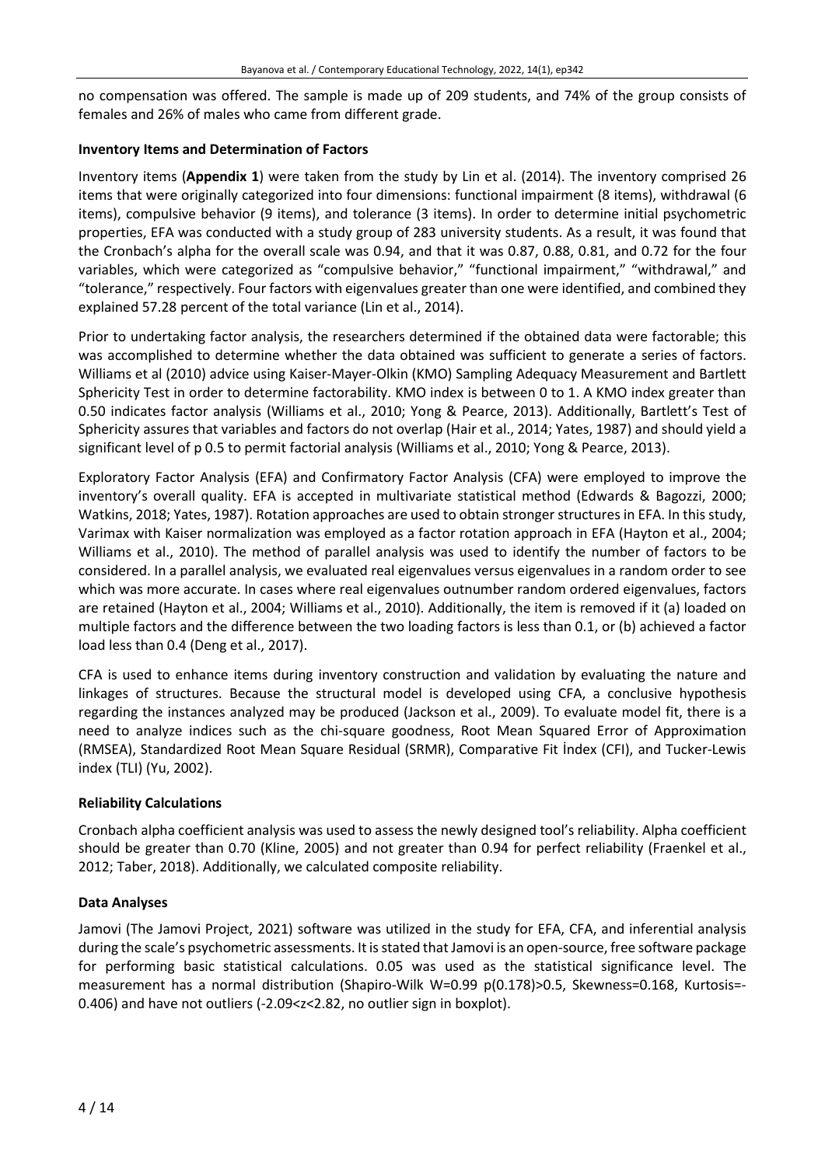no compensation was offered. The sample is made up of 209 students, and 74% of the group consists of females and 26% of males who came from different grade.

# **Inventory Items and Determination of Factors**

Inventory items (**Appendix 1**) were taken from the study by Lin et al. (2014). The inventory comprised 26 items that were originally categorized into four dimensions: functional impairment (8 items), withdrawal (6 items), compulsive behavior (9 items), and tolerance (3 items). In order to determine initial psychometric properties, EFA was conducted with a study group of 283 university students. As a result, it was found that the Cronbach's alpha for the overall scale was 0.94, and that it was 0.87, 0.88, 0.81, and 0.72 for the four variables, which were categorized as "compulsive behavior," "functional impairment," "withdrawal," and "tolerance," respectively. Four factors with eigenvalues greater than one were identified, and combined they explained 57.28 percent of the total variance (Lin et al., 2014).

Prior to undertaking factor analysis, the researchers determined if the obtained data were factorable; this was accomplished to determine whether the data obtained was sufficient to generate a series of factors. Williams et al (2010) advice using Kaiser-Mayer-Olkin (KMO) Sampling Adequacy Measurement and Bartlett Sphericity Test in order to determine factorability. KMO index is between 0 to 1. A KMO index greater than 0.50 indicates factor analysis (Williams et al., 2010; Yong & Pearce, 2013). Additionally, Bartlett's Test of Sphericity assures that variables and factors do not overlap (Hair et al., 2014; Yates, 1987) and should yield a significant level of p 0.5 to permit factorial analysis (Williams et al., 2010; Yong & Pearce, 2013).

Exploratory Factor Analysis (EFA) and Confirmatory Factor Analysis (CFA) were employed to improve the inventory's overall quality. EFA is accepted in multivariate statistical method (Edwards & Bagozzi, 2000; Watkins, 2018; Yates, 1987). Rotation approaches are used to obtain stronger structures in EFA. In this study, Varimax with Kaiser normalization was employed as a factor rotation approach in EFA (Hayton et al., 2004; Williams et al., 2010). The method of parallel analysis was used to identify the number of factors to be considered. In a parallel analysis, we evaluated real eigenvalues versus eigenvalues in a random order to see which was more accurate. In cases where real eigenvalues outnumber random ordered eigenvalues, factors are retained (Hayton et al., 2004; Williams et al., 2010). Additionally, the item is removed if it (a) loaded on multiple factors and the difference between the two loading factors is less than 0.1, or (b) achieved a factor load less than 0.4 (Deng et al., 2017).

CFA is used to enhance items during inventory construction and validation by evaluating the nature and linkages of structures. Because the structural model is developed using CFA, a conclusive hypothesis regarding the instances analyzed may be produced (Jackson et al., 2009). To evaluate model fit, there is a need to analyze indices such as the chi-square goodness, Root Mean Squared Error of Approximation (RMSEA), Standardized Root Mean Square Residual (SRMR), Comparative Fit İndex (CFI), and Tucker-Lewis index (TLI) (Yu, 2002).

# **Reliability Calculations**

Cronbach alpha coefficient analysis was used to assess the newly designed tool's reliability. Alpha coefficient should be greater than 0.70 (Kline, 2005) and not greater than 0.94 for perfect reliability (Fraenkel et al., 2012; Taber, 2018). Additionally, we calculated composite reliability.

# **Data Analyses**

Jamovi (The Jamovi Project, 2021) software was utilized in the study for EFA, CFA, and inferential analysis during the scale's psychometric assessments. It is stated that Jamovi is an open-source, free software package for performing basic statistical calculations. 0.05 was used as the statistical significance level. The measurement has a normal distribution (Shapiro-Wilk W=0.99 p(0.178)>0.5, Skewness=0.168, Kurtosis=- 0.406) and have not outliers (-2.09<z<2.82, no outlier sign in boxplot).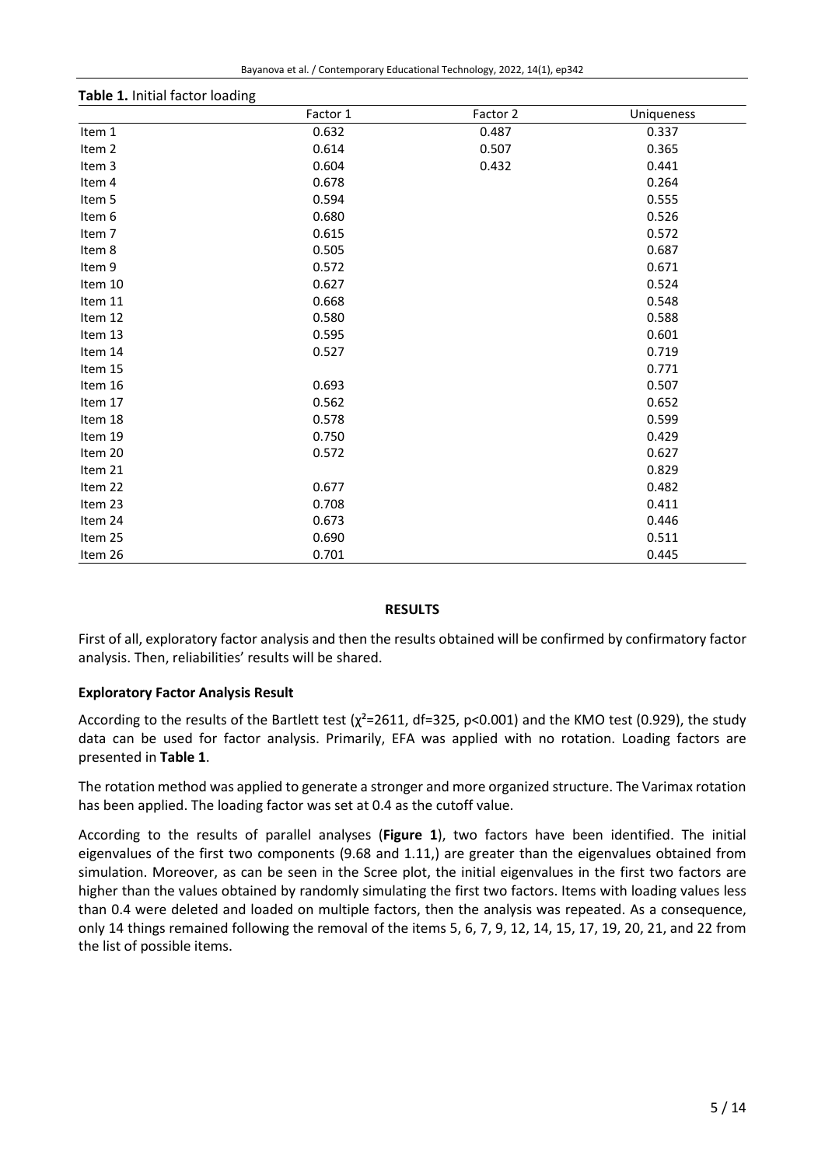| Bayanova et al. / Contemporary Educational Technology, 2022, 14(1), ep342 |  |  |  |  |  |  |  |
|---------------------------------------------------------------------------|--|--|--|--|--|--|--|
|---------------------------------------------------------------------------|--|--|--|--|--|--|--|

| Table 1. Initial factor loading |          |          |            |  |  |  |
|---------------------------------|----------|----------|------------|--|--|--|
|                                 | Factor 1 | Factor 2 | Uniqueness |  |  |  |
| Item 1                          | 0.632    | 0.487    | 0.337      |  |  |  |
| Item 2                          | 0.614    | 0.507    | 0.365      |  |  |  |
| Item 3                          | 0.604    | 0.432    | 0.441      |  |  |  |
| Item 4                          | 0.678    |          | 0.264      |  |  |  |
| Item 5                          | 0.594    |          | 0.555      |  |  |  |
| Item 6                          | 0.680    |          | 0.526      |  |  |  |
| Item 7                          | 0.615    |          | 0.572      |  |  |  |
| Item 8                          | 0.505    |          | 0.687      |  |  |  |
| Item 9                          | 0.572    |          | 0.671      |  |  |  |
| Item 10                         | 0.627    |          | 0.524      |  |  |  |
| Item 11                         | 0.668    |          | 0.548      |  |  |  |
| Item 12                         | 0.580    |          | 0.588      |  |  |  |
| Item 13                         | 0.595    |          | 0.601      |  |  |  |
| Item 14                         | 0.527    |          | 0.719      |  |  |  |
| Item 15                         |          |          | 0.771      |  |  |  |
| Item 16                         | 0.693    |          | 0.507      |  |  |  |
| Item 17                         | 0.562    |          | 0.652      |  |  |  |
| Item 18                         | 0.578    |          | 0.599      |  |  |  |
| Item 19                         | 0.750    |          | 0.429      |  |  |  |
| Item 20                         | 0.572    |          | 0.627      |  |  |  |
| Item 21                         |          |          | 0.829      |  |  |  |
| Item 22                         | 0.677    |          | 0.482      |  |  |  |
| Item 23                         | 0.708    |          | 0.411      |  |  |  |
| Item 24                         | 0.673    |          | 0.446      |  |  |  |
| Item 25                         | 0.690    |          | 0.511      |  |  |  |
| Item 26                         | 0.701    |          | 0.445      |  |  |  |

#### **RESULTS**

First of all, exploratory factor analysis and then the results obtained will be confirmed by confirmatory factor analysis. Then, reliabilities' results will be shared.

# **Exploratory Factor Analysis Result**

According to the results of the Bartlett test ( $\chi^2$ =2611, df=325, p<0.001) and the KMO test (0.929), the study data can be used for factor analysis. Primarily, EFA was applied with no rotation. Loading factors are presented in **Table 1**.

The rotation method was applied to generate a stronger and more organized structure. The Varimax rotation has been applied. The loading factor was set at 0.4 as the cutoff value.

According to the results of parallel analyses (**Figure 1**), two factors have been identified. The initial eigenvalues of the first two components (9.68 and 1.11,) are greater than the eigenvalues obtained from simulation. Moreover, as can be seen in the Scree plot, the initial eigenvalues in the first two factors are higher than the values obtained by randomly simulating the first two factors. Items with loading values less than 0.4 were deleted and loaded on multiple factors, then the analysis was repeated. As a consequence, only 14 things remained following the removal of the items 5, 6, 7, 9, 12, 14, 15, 17, 19, 20, 21, and 22 from the list of possible items.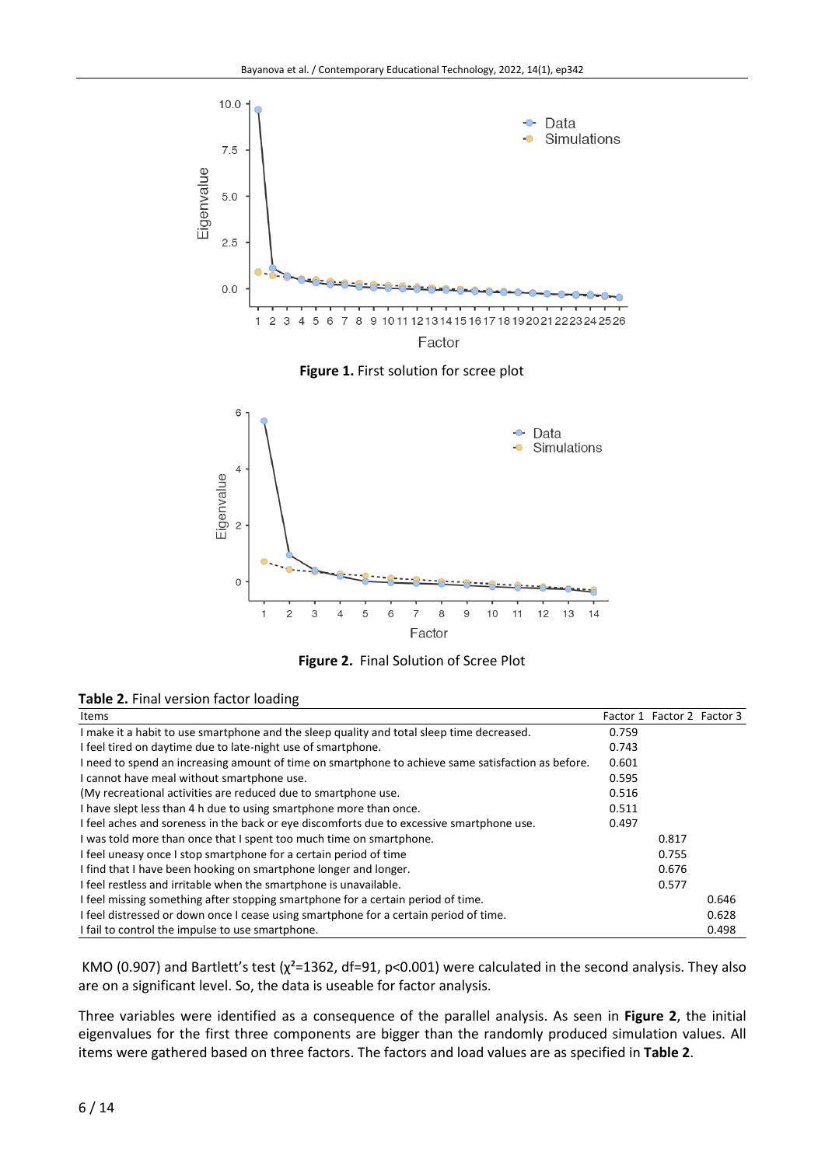

**Figure 1.** First solution for scree plot





| Table 2. Final version factor loading |  |  |  |  |
|---------------------------------------|--|--|--|--|
|---------------------------------------|--|--|--|--|

| <b>Items</b>                                                                                       |       | Factor 1 Factor 2 Factor 3 |       |
|----------------------------------------------------------------------------------------------------|-------|----------------------------|-------|
| I make it a habit to use smartphone and the sleep quality and total sleep time decreased.          | 0.759 |                            |       |
| I feel tired on daytime due to late-night use of smartphone.                                       | 0.743 |                            |       |
| I need to spend an increasing amount of time on smartphone to achieve same satisfaction as before. | 0.601 |                            |       |
| I cannot have meal without smartphone use.                                                         | 0.595 |                            |       |
| (My recreational activities are reduced due to smartphone use.                                     | 0.516 |                            |       |
| I have slept less than 4 h due to using smartphone more than once.                                 | 0.511 |                            |       |
| I feel aches and soreness in the back or eye discomforts due to excessive smartphone use.          | 0.497 |                            |       |
| I was told more than once that I spent too much time on smartphone.                                |       | 0.817                      |       |
| I feel uneasy once I stop smartphone for a certain period of time                                  |       | 0.755                      |       |
| I find that I have been hooking on smartphone longer and longer.                                   |       | 0.676                      |       |
| I feel restless and irritable when the smartphone is unavailable.                                  |       | 0.577                      |       |
| I feel missing something after stopping smartphone for a certain period of time.                   |       |                            | 0.646 |
| I feel distressed or down once I cease using smartphone for a certain period of time.              |       |                            | 0.628 |
| I fail to control the impulse to use smartphone.                                                   |       |                            | 0.498 |

KMO (0.907) and Bartlett's test ( $\chi^2$ =1362, df=91, p<0.001) were calculated in the second analysis. They also are on a significant level. So, the data is useable for factor analysis.

Three variables were identified as a consequence of the parallel analysis. As seen in **Figure 2**, the initial eigenvalues for the first three components are bigger than the randomly produced simulation values. All items were gathered based on three factors. The factors and load values are as specified in **Table 2**.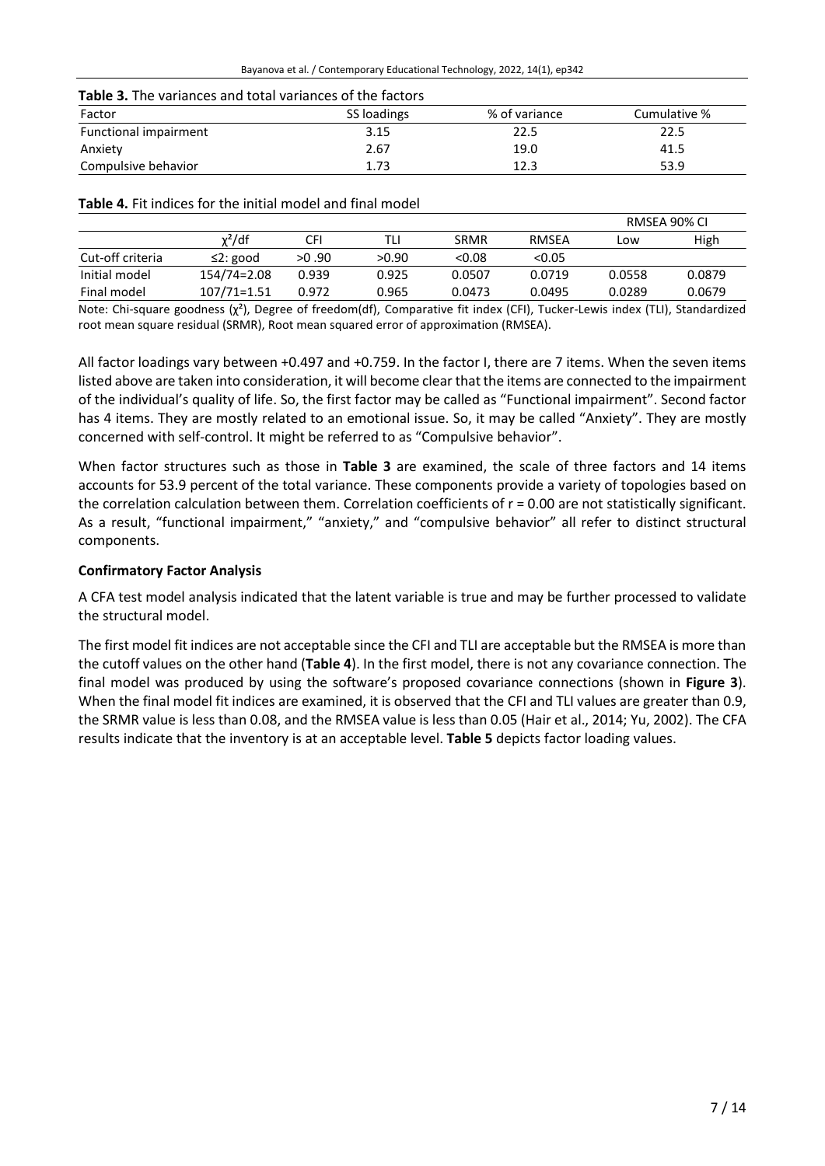| Table 3. The variances and total variances of the factors |  |
|-----------------------------------------------------------|--|
|-----------------------------------------------------------|--|

| Factor                | SS loadings | % of variance | Cumulative % |
|-----------------------|-------------|---------------|--------------|
| Functional impairment | 3.15        | 22.5          | 22.5         |
| Anxiety               | 2.67        | 19.0          | 41.5         |
| Compulsive behavior   | 1.73        | 12.3          | 53.9         |

**Table 4.** Fit indices for the initial model and final model

|                  |                 |       |       |             |        |        | RMSEA 90% CI |
|------------------|-----------------|-------|-------|-------------|--------|--------|--------------|
|                  | $\chi^2$ /df    | CFI   | TLI   | <b>SRMR</b> | RMSEA  | LOW.   | High         |
| Cut-off criteria | $\leq$ 2: good  | >0.90 | >0.90 | < 0.08      | < 0.05 |        |              |
| Initial model    | 154/74=2.08     | 0.939 | 0.925 | 0.0507      | 0.0719 | 0.0558 | 0.0879       |
| Final model      | $107/71 = 1.51$ | 0.972 | 0.965 | 0.0473      | 0.0495 | 0.0289 | 0.0679       |

Note: Chi-square goodness (χ²), Degree of freedom(df), Comparative fit index (CFI), Tucker-Lewis index (TLI), Standardized root mean square residual (SRMR), Root mean squared error of approximation (RMSEA).

All factor loadings vary between +0.497 and +0.759. In the factor I, there are 7 items. When the seven items listed above are taken into consideration, it will become clear that the items are connected to the impairment of the individual's quality of life. So, the first factor may be called as "Functional impairment". Second factor has 4 items. They are mostly related to an emotional issue. So, it may be called "Anxiety". They are mostly concerned with self-control. It might be referred to as "Compulsive behavior".

When factor structures such as those in **Table 3** are examined, the scale of three factors and 14 items accounts for 53.9 percent of the total variance. These components provide a variety of topologies based on the correlation calculation between them. Correlation coefficients of  $r = 0.00$  are not statistically significant. As a result, "functional impairment," "anxiety," and "compulsive behavior" all refer to distinct structural components.

# **Confirmatory Factor Analysis**

A CFA test model analysis indicated that the latent variable is true and may be further processed to validate the structural model.

The first model fit indices are not acceptable since the CFI and TLI are acceptable but the RMSEA is more than the cutoff values on the other hand (**Table 4**). In the first model, there is not any covariance connection. The final model was produced by using the software's proposed covariance connections (shown in **Figure 3**). When the final model fit indices are examined, it is observed that the CFI and TLI values are greater than 0.9, the SRMR value is less than 0.08, and the RMSEA value is less than 0.05 (Hair et al., 2014; Yu, 2002). The CFA results indicate that the inventory is at an acceptable level. **Table 5** depicts factor loading values.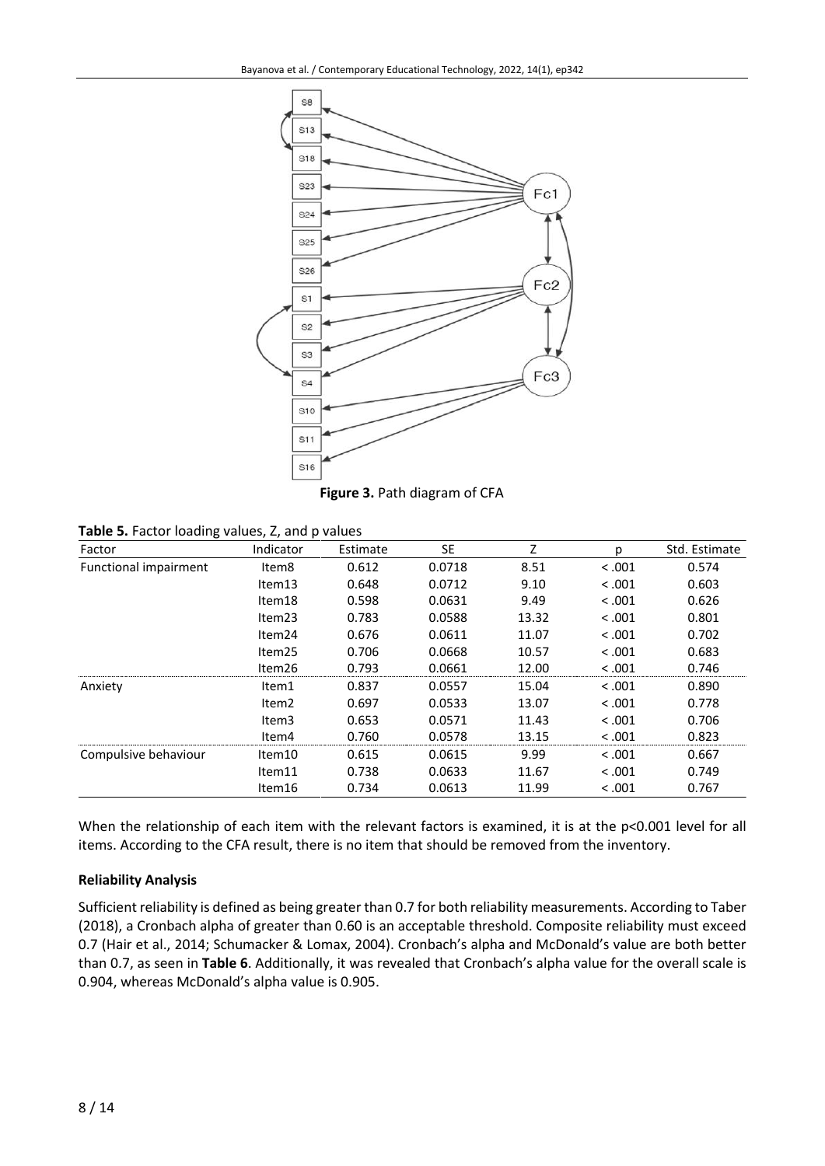

**Figure 3.** Path diagram of CFA

| ັ<br>Factor           | Indicator          | Estimate | SE     | Z     | р       | Std. Estimate |
|-----------------------|--------------------|----------|--------|-------|---------|---------------|
| Functional impairment | Item8              | 0.612    | 0.0718 | 8.51  | < 0.001 | 0.574         |
|                       | Item13             | 0.648    | 0.0712 | 9.10  | < 0.001 | 0.603         |
|                       | Item18             | 0.598    | 0.0631 | 9.49  | < 0.001 | 0.626         |
|                       | Item <sub>23</sub> | 0.783    | 0.0588 | 13.32 | < 0.001 | 0.801         |
|                       | Item24             | 0.676    | 0.0611 | 11.07 | < 0.001 | 0.702         |
|                       | Item25             | 0.706    | 0.0668 | 10.57 | < 0.001 | 0.683         |
|                       | Item26             | 0.793    | 0.0661 | 12.00 | < .001  | 0.746         |
| Anxiety               | Item1              | 0.837    | 0.0557 | 15.04 | < 0.001 | 0.890         |
|                       | Item <sub>2</sub>  | 0.697    | 0.0533 | 13.07 | < 0.001 | 0.778         |
|                       | Item <sub>3</sub>  | 0.653    | 0.0571 | 11.43 | < 0.001 | 0.706         |
|                       | Item4              | 0.760    | 0.0578 | 13.15 | < .001  | 0.823         |
| Compulsive behaviour  | Item10             | 0.615    | 0.0615 | 9.99  | < 0.001 | 0.667         |
|                       | Item11             | 0.738    | 0.0633 | 11.67 | < 0.001 | 0.749         |
|                       | Item16             | 0.734    | 0.0613 | 11.99 | < .001  | 0.767         |

When the relationship of each item with the relevant factors is examined, it is at the p<0.001 level for all items. According to the CFA result, there is no item that should be removed from the inventory.

# **Reliability Analysis**

Sufficient reliability is defined as being greater than 0.7 for both reliability measurements. According to Taber (2018), a Cronbach alpha of greater than 0.60 is an acceptable threshold. Composite reliability must exceed 0.7 (Hair et al., 2014; Schumacker & Lomax, 2004). Cronbach's alpha and McDonald's value are both better than 0.7, as seen in **Table 6**. Additionally, it was revealed that Cronbach's alpha value for the overall scale is 0.904, whereas McDonald's alpha value is 0.905.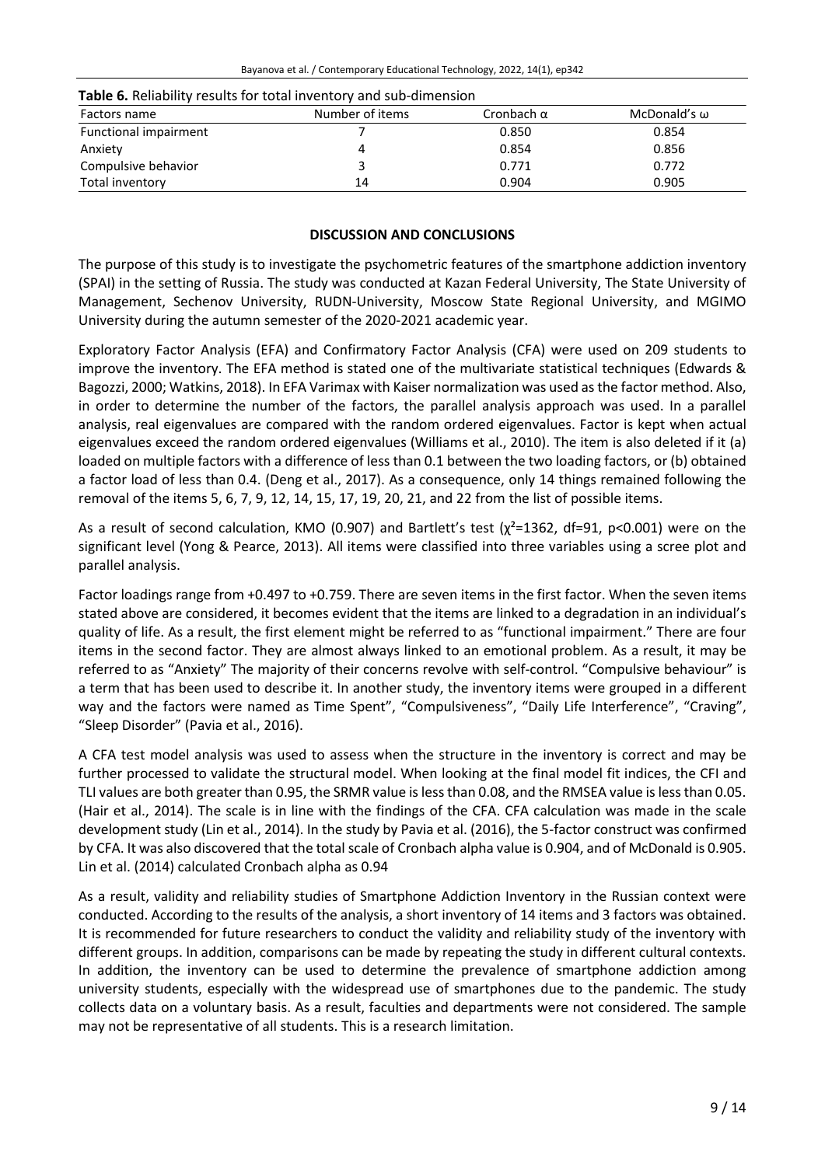| <b>Table 0.</b> INCREDIBLY TOSURES TOT COLD INTO THE RITH SUD UNITED SIGN |                 |                   |              |  |  |  |  |
|---------------------------------------------------------------------------|-----------------|-------------------|--------------|--|--|--|--|
| Factors name                                                              | Number of items | Cronbach $\alpha$ | McDonald's ω |  |  |  |  |
| Functional impairment                                                     |                 | 0.850             | 0.854        |  |  |  |  |
| Anxiety                                                                   |                 | 0.854             | 0.856        |  |  |  |  |
| Compulsive behavior                                                       |                 | 0.771             | 0.772        |  |  |  |  |
| Total inventory                                                           | 14              | 0.904             | 0.905        |  |  |  |  |

# **Table 6.** Reliability results for total inventory and sub-dimension

# **DISCUSSION AND CONCLUSIONS**

The purpose of this study is to investigate the psychometric features of the smartphone addiction inventory (SPAI) in the setting of Russia. The study was conducted at Kazan Federal University, The State University of Management, Sechenov University, RUDN-University, Moscow State Regional University, and MGIMO University during the autumn semester of the 2020-2021 academic year.

Exploratory Factor Analysis (EFA) and Confirmatory Factor Analysis (CFA) were used on 209 students to improve the inventory. The EFA method is stated one of the multivariate statistical techniques (Edwards & Bagozzi, 2000; Watkins, 2018). In EFA Varimax with Kaiser normalization was used asthe factor method. Also, in order to determine the number of the factors, the parallel analysis approach was used. In a parallel analysis, real eigenvalues are compared with the random ordered eigenvalues. Factor is kept when actual eigenvalues exceed the random ordered eigenvalues (Williams et al., 2010). The item is also deleted if it (a) loaded on multiple factors with a difference of less than 0.1 between the two loading factors, or (b) obtained a factor load of less than 0.4. (Deng et al., 2017). As a consequence, only 14 things remained following the removal of the items 5, 6, 7, 9, 12, 14, 15, 17, 19, 20, 21, and 22 from the list of possible items.

As a result of second calculation, KMO (0.907) and Bartlett's test ( $\chi^2$ =1362, df=91, p<0.001) were on the significant level (Yong & Pearce, 2013). All items were classified into three variables using a scree plot and parallel analysis.

Factor loadings range from +0.497 to +0.759. There are seven items in the first factor. When the seven items stated above are considered, it becomes evident that the items are linked to a degradation in an individual's quality of life. As a result, the first element might be referred to as "functional impairment." There are four items in the second factor. They are almost always linked to an emotional problem. As a result, it may be referred to as "Anxiety" The majority of their concerns revolve with self-control. "Compulsive behaviour" is a term that has been used to describe it. In another study, the inventory items were grouped in a different way and the factors were named as Time Spent", "Compulsiveness", "Daily Life Interference", "Craving", "Sleep Disorder" (Pavia et al., 2016).

A CFA test model analysis was used to assess when the structure in the inventory is correct and may be further processed to validate the structural model. When looking at the final model fit indices, the CFI and TLI values are both greater than 0.95, the SRMR value is less than 0.08, and the RMSEA value is less than 0.05. (Hair et al., 2014). The scale is in line with the findings of the CFA. CFA calculation was made in the scale development study (Lin et al., 2014). In the study by Pavia et al. (2016), the 5-factor construct was confirmed by CFA. It was also discovered that the total scale of Cronbach alpha value is 0.904, and of McDonald is 0.905. Lin et al. (2014) calculated Cronbach alpha as 0.94

As a result, validity and reliability studies of Smartphone Addiction Inventory in the Russian context were conducted. According to the results of the analysis, a short inventory of 14 items and 3 factors was obtained. It is recommended for future researchers to conduct the validity and reliability study of the inventory with different groups. In addition, comparisons can be made by repeating the study in different cultural contexts. In addition, the inventory can be used to determine the prevalence of smartphone addiction among university students, especially with the widespread use of smartphones due to the pandemic. The study collects data on a voluntary basis. As a result, faculties and departments were not considered. The sample may not be representative of all students. This is a research limitation.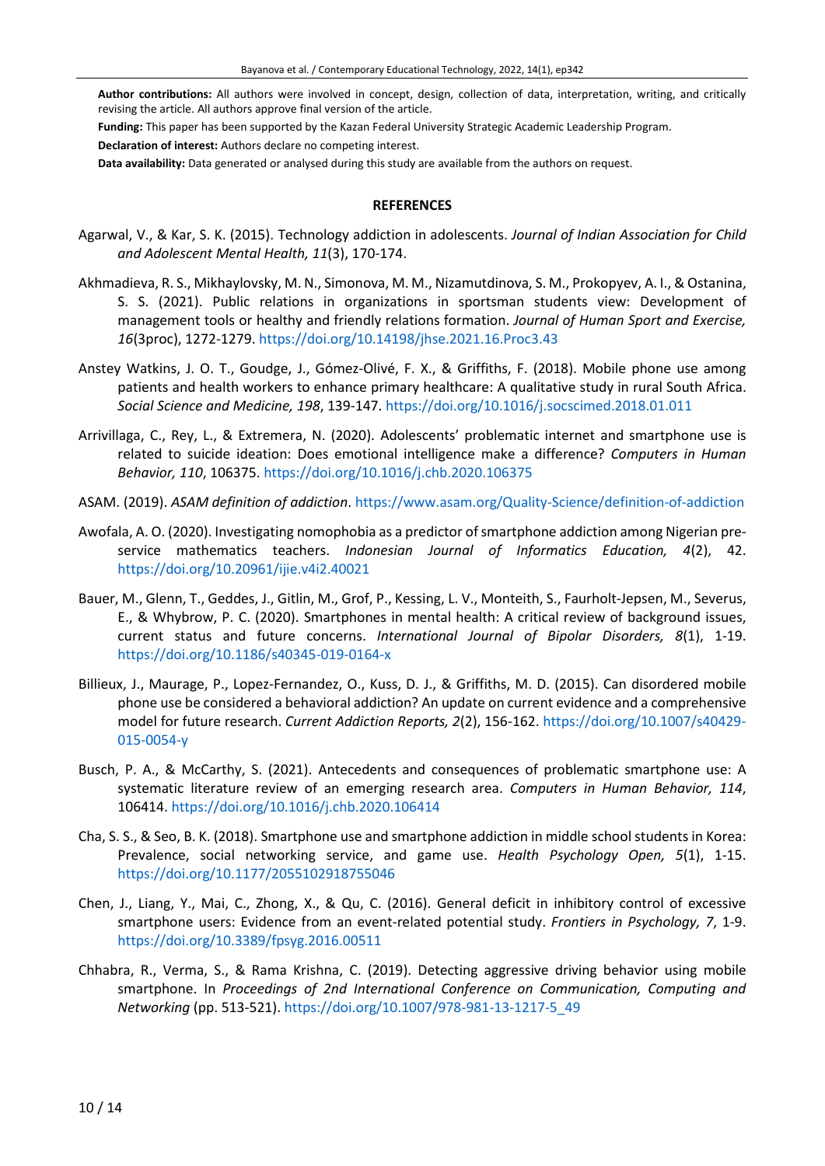**Author contributions:** All authors were involved in concept, design, collection of data, interpretation, writing, and critically revising the article. All authors approve final version of the article.

**Funding:** This paper has been supported by the Kazan Federal University Strategic Academic Leadership Program.

**Declaration of interest:** Authors declare no competing interest.

**Data availability:** Data generated or analysed during this study are available from the authors on request.

#### **REFERENCES**

- Agarwal, V., & Kar, S. K. (2015). Technology addiction in adolescents. *Journal of Indian Association for Child and Adolescent Mental Health, 11*(3), 170-174.
- Akhmadieva, R. S., Mikhaylovsky, M. N., Simonova, M. M., Nizamutdinova, S. M., Prokopyev, A. I., & Ostanina, S. S. (2021). Public relations in organizations in sportsman students view: Development of management tools or healthy and friendly relations formation. *Journal of Human Sport and Exercise, 16*(3proc), 1272-1279. <https://doi.org/10.14198/jhse.2021.16.Proc3.43>
- Anstey Watkins, J. O. T., Goudge, J., Gómez-Olivé, F. X., & Griffiths, F. (2018). Mobile phone use among patients and health workers to enhance primary healthcare: A qualitative study in rural South Africa. *Social Science and Medicine, 198*, 139-147. <https://doi.org/10.1016/j.socscimed.2018.01.011>
- Arrivillaga, C., Rey, L., & Extremera, N. (2020). Adolescents' problematic internet and smartphone use is related to suicide ideation: Does emotional intelligence make a difference? *Computers in Human Behavior, 110*, 106375. <https://doi.org/10.1016/j.chb.2020.106375>
- ASAM. (2019). *ASAM definition of addiction*. <https://www.asam.org/Quality-Science/definition-of-addiction>
- Awofala, A. O. (2020). Investigating nomophobia as a predictor of smartphone addiction among Nigerian preservice mathematics teachers. *Indonesian Journal of Informatics Education, 4*(2), 42. <https://doi.org/10.20961/ijie.v4i2.40021>
- Bauer, M., Glenn, T., Geddes, J., Gitlin, M., Grof, P., Kessing, L. V., Monteith, S., Faurholt-Jepsen, M., Severus, E., & Whybrow, P. C. (2020). Smartphones in mental health: A critical review of background issues, current status and future concerns. *International Journal of Bipolar Disorders, 8*(1), 1-19. <https://doi.org/10.1186/s40345-019-0164-x>
- Billieux, J., Maurage, P., Lopez-Fernandez, O., Kuss, D. J., & Griffiths, M. D. (2015). Can disordered mobile phone use be considered a behavioral addiction? An update on current evidence and a comprehensive model for future research. *Current Addiction Reports, 2*(2), 156-162. [https://doi.org/10.1007/s40429-](https://doi.org/10.1007/s40429-015-0054-y) [015-0054-y](https://doi.org/10.1007/s40429-015-0054-y)
- Busch, P. A., & McCarthy, S. (2021). Antecedents and consequences of problematic smartphone use: A systematic literature review of an emerging research area. *Computers in Human Behavior, 114*, 106414. <https://doi.org/10.1016/j.chb.2020.106414>
- Cha, S. S., & Seo, B. K. (2018). Smartphone use and smartphone addiction in middle school students in Korea: Prevalence, social networking service, and game use. *Health Psychology Open, 5*(1), 1-15. <https://doi.org/10.1177/2055102918755046>
- Chen, J., Liang, Y., Mai, C., Zhong, X., & Qu, C. (2016). General deficit in inhibitory control of excessive smartphone users: Evidence from an event-related potential study. *Frontiers in Psychology, 7*, 1-9. <https://doi.org/10.3389/fpsyg.2016.00511>
- Chhabra, R., Verma, S., & Rama Krishna, C. (2019). Detecting aggressive driving behavior using mobile smartphone. In *Proceedings of 2nd International Conference on Communication, Computing and Networking* (pp. 513-521). [https://doi.org/10.1007/978-981-13-1217-5\\_49](https://doi.org/10.1007/978-981-13-1217-5_49)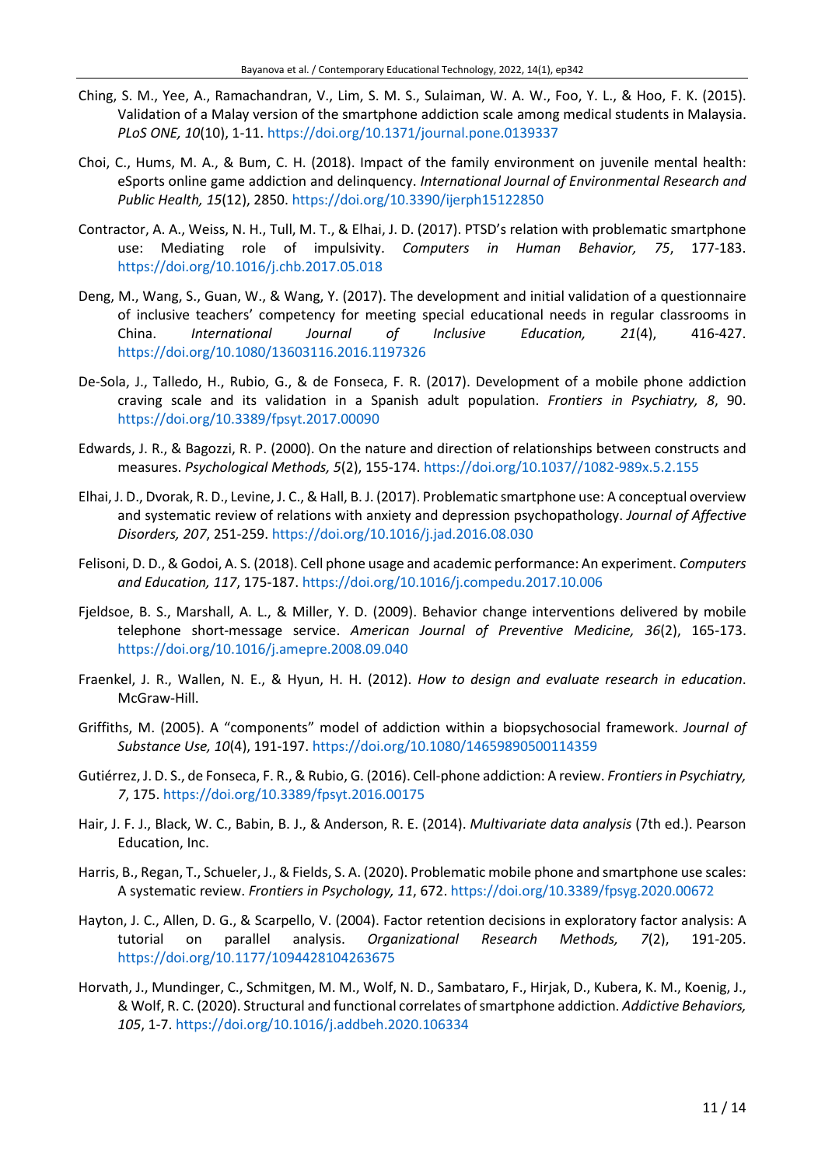- Ching, S. M., Yee, A., Ramachandran, V., Lim, S. M. S., Sulaiman, W. A. W., Foo, Y. L., & Hoo, F. K. (2015). Validation of a Malay version of the smartphone addiction scale among medical students in Malaysia. *PLoS ONE, 10*(10), 1-11. <https://doi.org/10.1371/journal.pone.0139337>
- Choi, C., Hums, M. A., & Bum, C. H. (2018). Impact of the family environment on juvenile mental health: eSports online game addiction and delinquency. *International Journal of Environmental Research and Public Health, 15*(12), 2850. <https://doi.org/10.3390/ijerph15122850>
- Contractor, A. A., Weiss, N. H., Tull, M. T., & Elhai, J. D. (2017). PTSD's relation with problematic smartphone use: Mediating role of impulsivity. *Computers in Human Behavior, 75*, 177-183. <https://doi.org/10.1016/j.chb.2017.05.018>
- Deng, M., Wang, S., Guan, W., & Wang, Y. (2017). The development and initial validation of a questionnaire of inclusive teachers' competency for meeting special educational needs in regular classrooms in China. *International Journal of Inclusive Education, 21*(4), 416-427. <https://doi.org/10.1080/13603116.2016.1197326>
- De-Sola, J., Talledo, H., Rubio, G., & de Fonseca, F. R. (2017). Development of a mobile phone addiction craving scale and its validation in a Spanish adult population. *Frontiers in Psychiatry, 8*, 90. <https://doi.org/10.3389/fpsyt.2017.00090>
- Edwards, J. R., & Bagozzi, R. P. (2000). On the nature and direction of relationships between constructs and measures. *Psychological Methods, 5*(2), 155-174. [https://doi.org/10.1037//1082-989x.5.2.155](https://doi.org/10.1037/1082-989x.5.2.155)
- Elhai, J. D., Dvorak, R. D., Levine, J. C., & Hall, B. J. (2017). Problematic smartphone use: A conceptual overview and systematic review of relations with anxiety and depression psychopathology. *Journal of Affective Disorders, 207*, 251-259. <https://doi.org/10.1016/j.jad.2016.08.030>
- Felisoni, D. D., & Godoi, A. S. (2018). Cell phone usage and academic performance: An experiment. *Computers and Education, 117*, 175-187. <https://doi.org/10.1016/j.compedu.2017.10.006>
- Fjeldsoe, B. S., Marshall, A. L., & Miller, Y. D. (2009). Behavior change interventions delivered by mobile telephone short-message service. *American Journal of Preventive Medicine, 36*(2), 165-173. <https://doi.org/10.1016/j.amepre.2008.09.040>
- Fraenkel, J. R., Wallen, N. E., & Hyun, H. H. (2012). *How to design and evaluate research in education*. McGraw-Hill.
- Griffiths, M. (2005). A "components" model of addiction within a biopsychosocial framework. *Journal of Substance Use, 10*(4), 191-197. <https://doi.org/10.1080/14659890500114359>
- Gutiérrez, J. D. S., de Fonseca, F. R., & Rubio, G. (2016). Cell-phone addiction: A review. *Frontiersin Psychiatry, 7*, 175. <https://doi.org/10.3389/fpsyt.2016.00175>
- Hair, J. F. J., Black, W. C., Babin, B. J., & Anderson, R. E. (2014). *Multivariate data analysis* (7th ed.). Pearson Education, Inc.
- Harris, B., Regan, T., Schueler, J., & Fields, S. A. (2020). Problematic mobile phone and smartphone use scales: A systematic review. *Frontiers in Psychology, 11*, 672. <https://doi.org/10.3389/fpsyg.2020.00672>
- Hayton, J. C., Allen, D. G., & Scarpello, V. (2004). Factor retention decisions in exploratory factor analysis: A tutorial on parallel analysis. *Organizational Research Methods, 7*(2), 191-205. <https://doi.org/10.1177/1094428104263675>
- Horvath, J., Mundinger, C., Schmitgen, M. M., Wolf, N. D., Sambataro, F., Hirjak, D., Kubera, K. M., Koenig, J., & Wolf, R. C. (2020). Structural and functional correlates ofsmartphone addiction. *Addictive Behaviors, 105*, 1-7. <https://doi.org/10.1016/j.addbeh.2020.106334>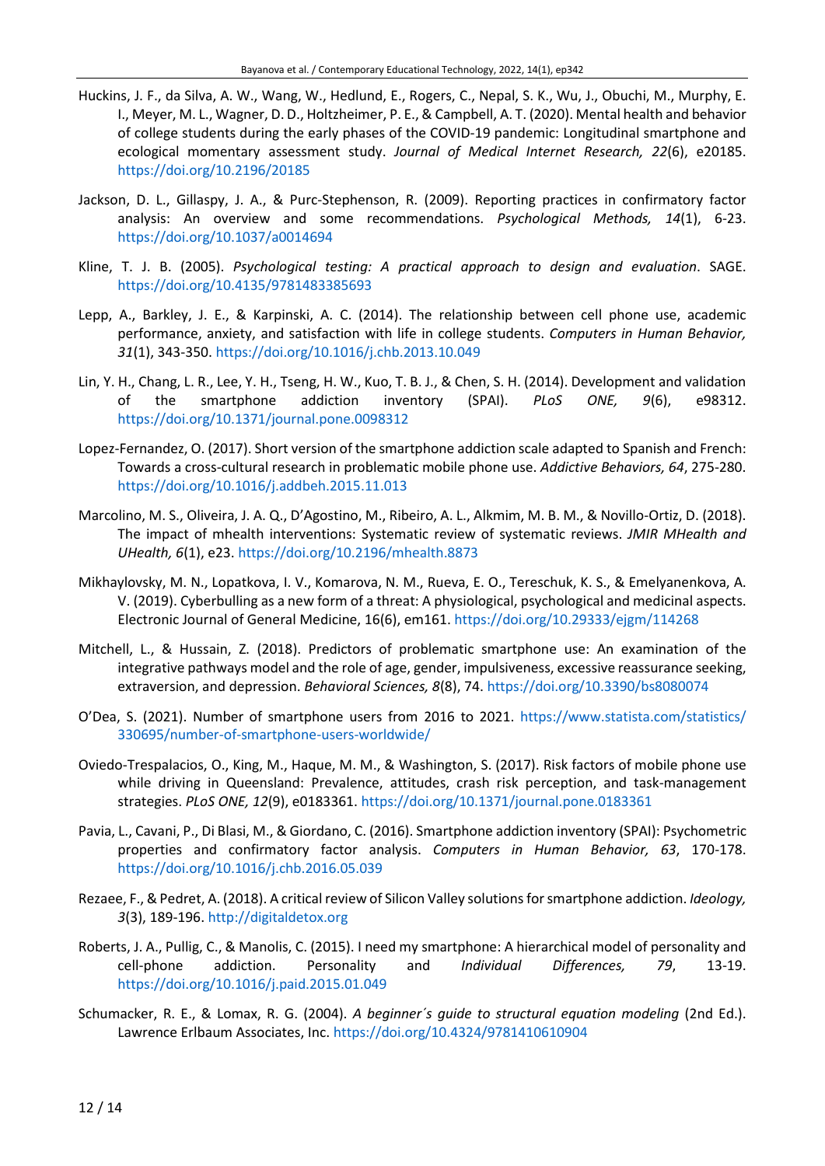- Huckins, J. F., da Silva, A. W., Wang, W., Hedlund, E., Rogers, C., Nepal, S. K., Wu, J., Obuchi, M., Murphy, E. I., Meyer, M. L., Wagner, D. D., Holtzheimer, P. E., & Campbell, A. T. (2020). Mental health and behavior of college students during the early phases of the COVID-19 pandemic: Longitudinal smartphone and ecological momentary assessment study. *Journal of Medical Internet Research, 22*(6), e20185. <https://doi.org/10.2196/20185>
- Jackson, D. L., Gillaspy, J. A., & Purc-Stephenson, R. (2009). Reporting practices in confirmatory factor analysis: An overview and some recommendations. *Psychological Methods, 14*(1), 6-23. <https://doi.org/10.1037/a0014694>
- Kline, T. J. B. (2005). *Psychological testing: A practical approach to design and evaluation*. SAGE. <https://doi.org/10.4135/9781483385693>
- Lepp, A., Barkley, J. E., & Karpinski, A. C. (2014). The relationship between cell phone use, academic performance, anxiety, and satisfaction with life in college students. *Computers in Human Behavior, 31*(1), 343-350. <https://doi.org/10.1016/j.chb.2013.10.049>
- Lin, Y. H., Chang, L. R., Lee, Y. H., Tseng, H. W., Kuo, T. B. J., & Chen, S. H. (2014). Development and validation of the smartphone addiction inventory (SPAI). *PLoS ONE, 9*(6), e98312. <https://doi.org/10.1371/journal.pone.0098312>
- Lopez-Fernandez, O. (2017). Short version of the smartphone addiction scale adapted to Spanish and French: Towards a cross-cultural research in problematic mobile phone use. *Addictive Behaviors, 64*, 275-280. <https://doi.org/10.1016/j.addbeh.2015.11.013>
- Marcolino, M. S., Oliveira, J. A. Q., D'Agostino, M., Ribeiro, A. L., Alkmim, M. B. M., & Novillo-Ortiz, D. (2018). The impact of mhealth interventions: Systematic review of systematic reviews. *JMIR MHealth and UHealth, 6*(1), e23. <https://doi.org/10.2196/mhealth.8873>
- Mikhaylovsky, M. N., Lopatkova, I. V., Komarova, N. M., Rueva, E. O., Tereschuk, K. S., & Emelyanenkova, A. V. (2019). Cyberbulling as a new form of a threat: A physiological, psychological and medicinal aspects. Electronic Journal of General Medicine, 16(6), em161. <https://doi.org/10.29333/ejgm/114268>
- Mitchell, L., & Hussain, Z. (2018). Predictors of problematic smartphone use: An examination of the integrative pathways model and the role of age, gender, impulsiveness, excessive reassurance seeking, extraversion, and depression. *Behavioral Sciences, 8*(8), 74. <https://doi.org/10.3390/bs8080074>
- O'Dea, S. (2021). Number of smartphone users from 2016 to 2021. [https://www.statista.com/statistics/](https://www.statista.com/statistics/330695/number-of-smartphone-users-worldwide/) [330695/number-of-smartphone-users-worldwide/](https://www.statista.com/statistics/330695/number-of-smartphone-users-worldwide/)
- Oviedo-Trespalacios, O., King, M., Haque, M. M., & Washington, S. (2017). Risk factors of mobile phone use while driving in Queensland: Prevalence, attitudes, crash risk perception, and task-management strategies. *PLoS ONE, 12*(9), e0183361. <https://doi.org/10.1371/journal.pone.0183361>
- Pavia, L., Cavani, P., Di Blasi, M., & Giordano, C. (2016). Smartphone addiction inventory (SPAI): Psychometric properties and confirmatory factor analysis. *Computers in Human Behavior, 63*, 170-178. <https://doi.org/10.1016/j.chb.2016.05.039>
- Rezaee, F., & Pedret, A. (2018). A critical review of Silicon Valley solutions for smartphone addiction. *Ideology, 3*(3), 189-196. [http://digitaldetox.org](http://digitaldetox.org/)
- Roberts, J. A., Pullig, C., & Manolis, C. (2015). I need my smartphone: A hierarchical model of personality and cell-phone addiction. Personality and *Individual Differences, 79*, 13-19. <https://doi.org/10.1016/j.paid.2015.01.049>
- Schumacker, R. E., & Lomax, R. G. (2004). *A beginner´s guide to structural equation modeling* (2nd Ed.). Lawrence Erlbaum Associates, Inc. <https://doi.org/10.4324/9781410610904>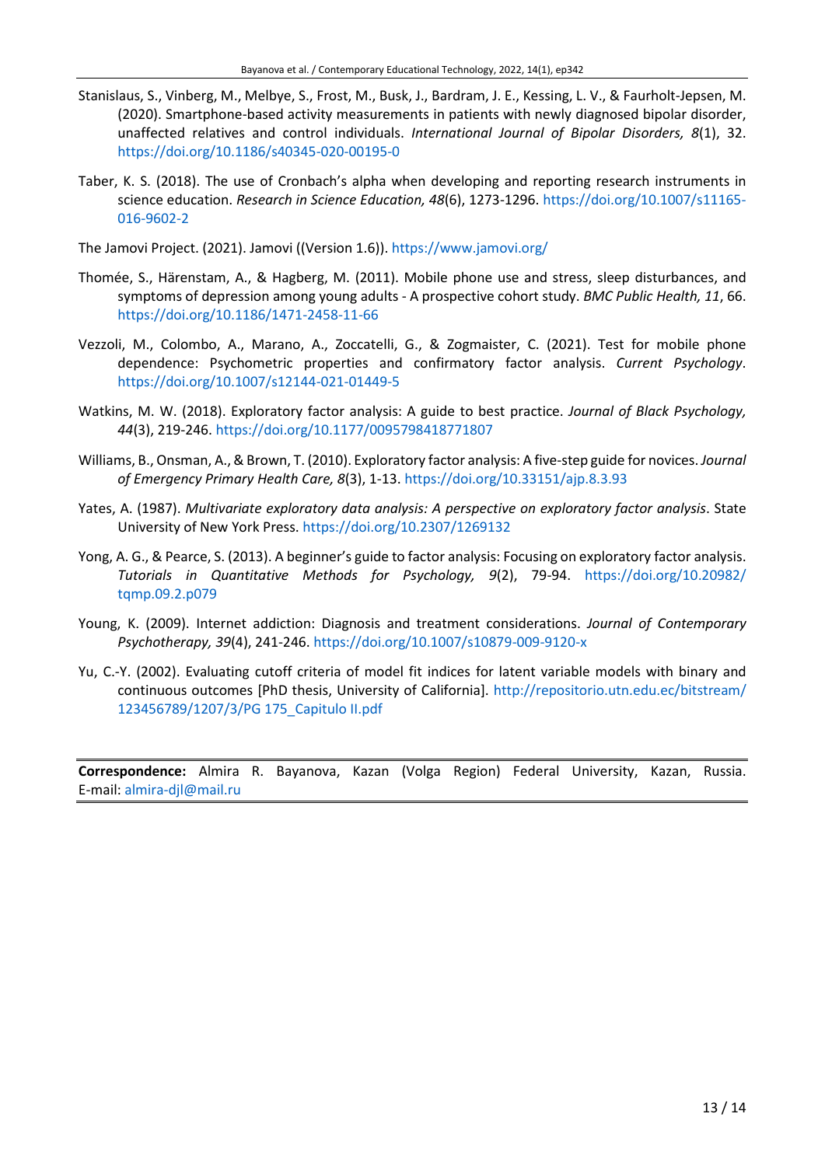- Stanislaus, S., Vinberg, M., Melbye, S., Frost, M., Busk, J., Bardram, J. E., Kessing, L. V., & Faurholt-Jepsen, M. (2020). Smartphone-based activity measurements in patients with newly diagnosed bipolar disorder, unaffected relatives and control individuals. *International Journal of Bipolar Disorders, 8*(1), 32. <https://doi.org/10.1186/s40345-020-00195-0>
- Taber, K. S. (2018). The use of Cronbach's alpha when developing and reporting research instruments in science education. *Research in Science Education, 48*(6), 1273-1296. [https://doi.org/10.1007/s11165-](https://doi.org/10.1007/s11165-016-9602-2) [016-9602-2](https://doi.org/10.1007/s11165-016-9602-2)

The Jamovi Project. (2021). Jamovi ((Version 1.6)). <https://www.jamovi.org/>

- Thomée, S., Härenstam, A., & Hagberg, M. (2011). Mobile phone use and stress, sleep disturbances, and symptoms of depression among young adults - A prospective cohort study. *BMC Public Health, 11*, 66. <https://doi.org/10.1186/1471-2458-11-66>
- Vezzoli, M., Colombo, A., Marano, A., Zoccatelli, G., & Zogmaister, C. (2021). Test for mobile phone dependence: Psychometric properties and confirmatory factor analysis. *Current Psychology*. <https://doi.org/10.1007/s12144-021-01449-5>
- Watkins, M. W. (2018). Exploratory factor analysis: A guide to best practice. *Journal of Black Psychology, 44*(3), 219-246. <https://doi.org/10.1177/0095798418771807>
- Williams, B., Onsman, A.,&Brown, T. (2010). Exploratory factor analysis: A five-step guide for novices. *Journal of Emergency Primary Health Care, 8*(3), 1-13. <https://doi.org/10.33151/ajp.8.3.93>
- Yates, A. (1987). *Multivariate exploratory data analysis: A perspective on exploratory factor analysis*. State University of New York Press. <https://doi.org/10.2307/1269132>
- Yong, A. G., & Pearce, S. (2013). A beginner's guide to factor analysis: Focusing on exploratory factor analysis. *Tutorials in Quantitative Methods for Psychology, 9*(2), 79-94. [https://doi.org/10.20982/](https://doi.org/10.20982/tqmp.09.2.p079) [tqmp.09.2.p079](https://doi.org/10.20982/tqmp.09.2.p079)
- Young, K. (2009). Internet addiction: Diagnosis and treatment considerations. *Journal of Contemporary Psychotherapy, 39*(4), 241-246. <https://doi.org/10.1007/s10879-009-9120-x>
- Yu, C.-Y. (2002). Evaluating cutoff criteria of model fit indices for latent variable models with binary and continuous outcomes [PhD thesis, University of California]. [http://repositorio.utn.edu.ec/bitstream/](http://repositorio.utn.edu.ec/bitstream/123456789/1207/3/PG%20175_Capitulo%20II.pdf) [123456789/1207/3/PG 175\\_Capitulo II.pdf](http://repositorio.utn.edu.ec/bitstream/123456789/1207/3/PG%20175_Capitulo%20II.pdf)

**Correspondence:** Almira R. Bayanova, Kazan (Volga Region) Federal University, Kazan, Russia. E-mail: [almira-djl@mail.ru](mailto:almira-djl@mail.ru)